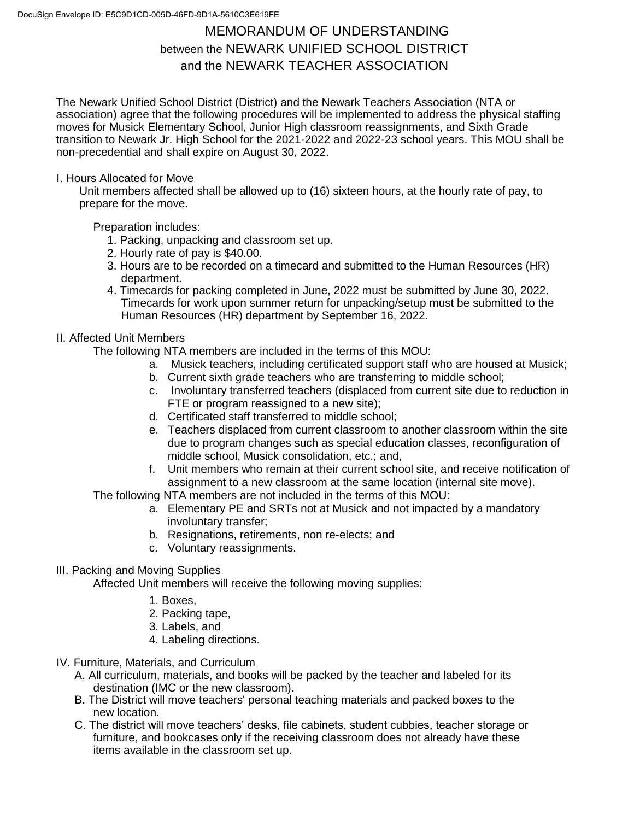## MEMORANDUM OF UNDERSTANDING between the NEWARK UNIFIED SCHOOL DISTRICT and the NEWARK TEACHER ASSOCIATION

The Newark Unified School District (District) and the Newark Teachers Association (NTA or association) agree that the following procedures will be implemented to address the physical staffing moves for Musick Elementary School, Junior High classroom reassignments, and Sixth Grade transition to Newark Jr. High School for the 2021-2022 and 2022-23 school years. This MOU shall be non-precedential and shall expire on August 30, 2022.

## I. Hours Allocated for Move

Unit members affected shall be allowed up to (16) sixteen hours, at the hourly rate of pay, to prepare for the move.

Preparation includes:

- 1. Packing, unpacking and classroom set up.
- 2. Hourly rate of pay is \$40.00.
- 3. Hours are to be recorded on a timecard and submitted to the Human Resources (HR) department.
- 4. Timecards for packing completed in June, 2022 must be submitted by June 30, 2022. Timecards for work upon summer return for unpacking/setup must be submitted to the Human Resources (HR) department by September 16, 2022.

## II. Affected Unit Members

The following NTA members are included in the terms of this MOU:

- a. Musick teachers, including certificated support staff who are housed at Musick;
- b. Current sixth grade teachers who are transferring to middle school;
- c. Involuntary transferred teachers (displaced from current site due to reduction in FTE or program reassigned to a new site);
- d. Certificated staff transferred to middle school;
- e. Teachers displaced from current classroom to another classroom within the site due to program changes such as special education classes, reconfiguration of middle school, Musick consolidation, etc.; and,
- f. Unit members who remain at their current school site, and receive notification of assignment to a new classroom at the same location (internal site move).

The following NTA members are not included in the terms of this MOU:

- a. Elementary PE and SRTs not at Musick and not impacted by a mandatory involuntary transfer;
- b. Resignations, retirements, non re-elects; and
- c. Voluntary reassignments.

## III. Packing and Moving Supplies

Affected Unit members will receive the following moving supplies:

- 1. Boxes,
- 2. Packing tape,
- 3. Labels, and
- 4. Labeling directions.
- IV. Furniture, Materials, and Curriculum
	- A. All curriculum, materials, and books will be packed by the teacher and labeled for its destination (IMC or the new classroom).
	- B. The District will move teachers' personal teaching materials and packed boxes to the new location.
	- C. The district will move teachers' desks, file cabinets, student cubbies, teacher storage or furniture, and bookcases only if the receiving classroom does not already have these items available in the classroom set up.